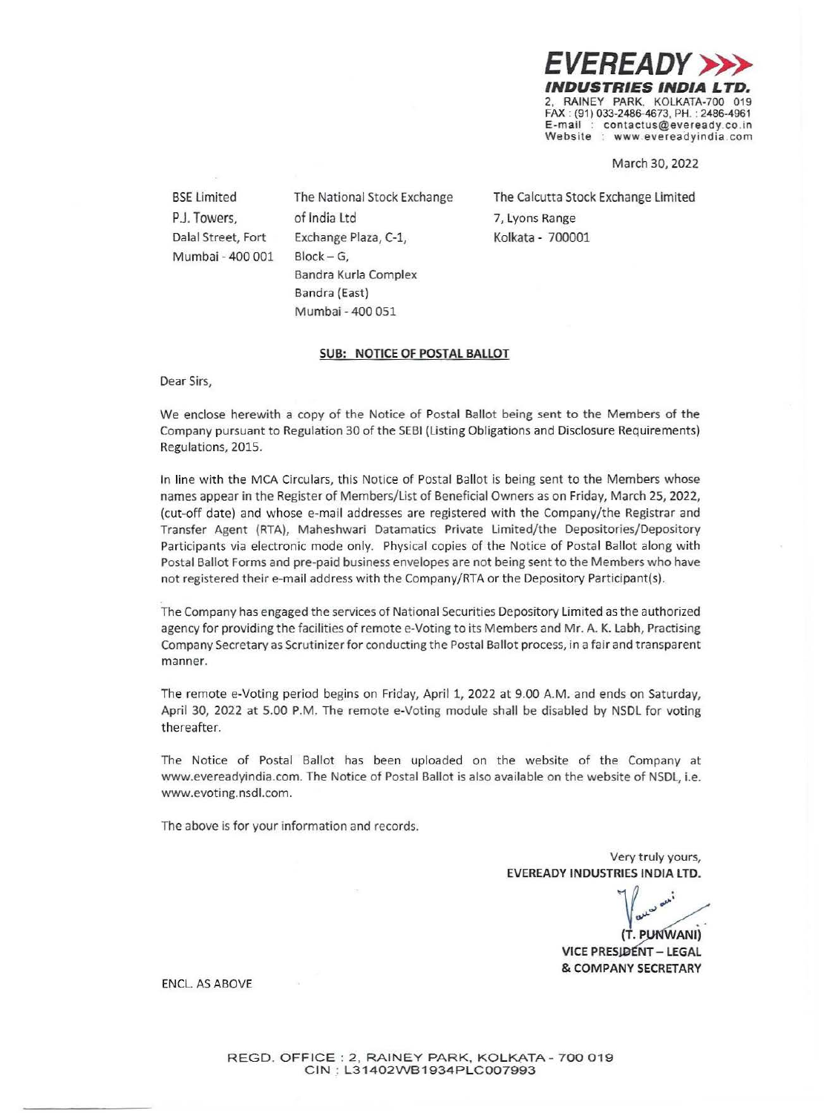*EVEREADY >>>*  INDUSTRIES INDIA 2, RAINEY PARK. KOLKATA-700 019 FAX : (91) 033-2486-4673, PH. : 2486-4961 contactus@eveready.co.in **Website** : www.evereadyindia.com

March 30, 2022

BSE Limited P.J. Towers, Dalal Street, Fort Mumbai - 400 001 The National Stock Exchange of India Ltd Exchange Plaza, C-1,  $Block - G$ , Bandra Kurla Complex Bandra (East) Mumbai - 400 051

The Calcutta Stock Exchange Limited 7, Lyons Range Kolkata - 700001

#### **SUB: NOTICE OF POSTAL BALLOT**

Dear Sirs,

We enclose herewith a copy of the Notice of Postal Ballot being sent to the Members of the Company pursuant to Regulation 30 of the SEBI (Listing Obligations and Disclosure Requirements) Regulations, 2015.

In line with the MCA Circulars, this Notice of Postal Ballot is being sent to the Members whose names appear in the Register of Members/List of Beneficial Owners as on Friday, March 25, 2022, (cut-off date) and whose e-mail addresses are registered with the Company/the Registrar and Transfer Agent (RTA), Maheshwari Datamatics Private Limited/the Depositories/Depository Participants via electronic mode only. Physical copies of the Notice of Postal Ballot along with Postal Ballot Forms and pre-paid business envelopes are not being sent to the Members who have not registered their e-mail address with the Company/RTA or the Depository Participant(s).

The Company has engaged the services of National Securities Depository Limited as the authorized agency for providing the facilities of remote e-Voting to its Members and Mr. A. K. Labh, Practising Company Secretary as Scrutinizer for conducting the Postal Ballot process, in a fair and transparent manner.

The remote e-Voting period begins on Friday, April 1, 2022 at 9.00 A.M. and ends on Saturday, April 30, 2022 at 5.00 P.M. The remote e-Voting module shall be disabled by NSDL for voting thereafter.

The Notice of Postal Ballot has been uploaded on the website of the Company at www.evereadyindia.com. The Notice of Postal Ballot is also available on the website of NSDL, i.e. www.evoting.nsdl.com.

The above is for your information and records.

Very truly yours, **EVEREADY INDUSTRIES INDIA LTD.** 

 $70$  ...  $\int$   $\omega$ <sup> $\omega$ </sup>

**(T. P ANI) VICE PRESIDENT - LEGAL** & **COMPANY SECRETARY** 

ENCL. AS ABOVE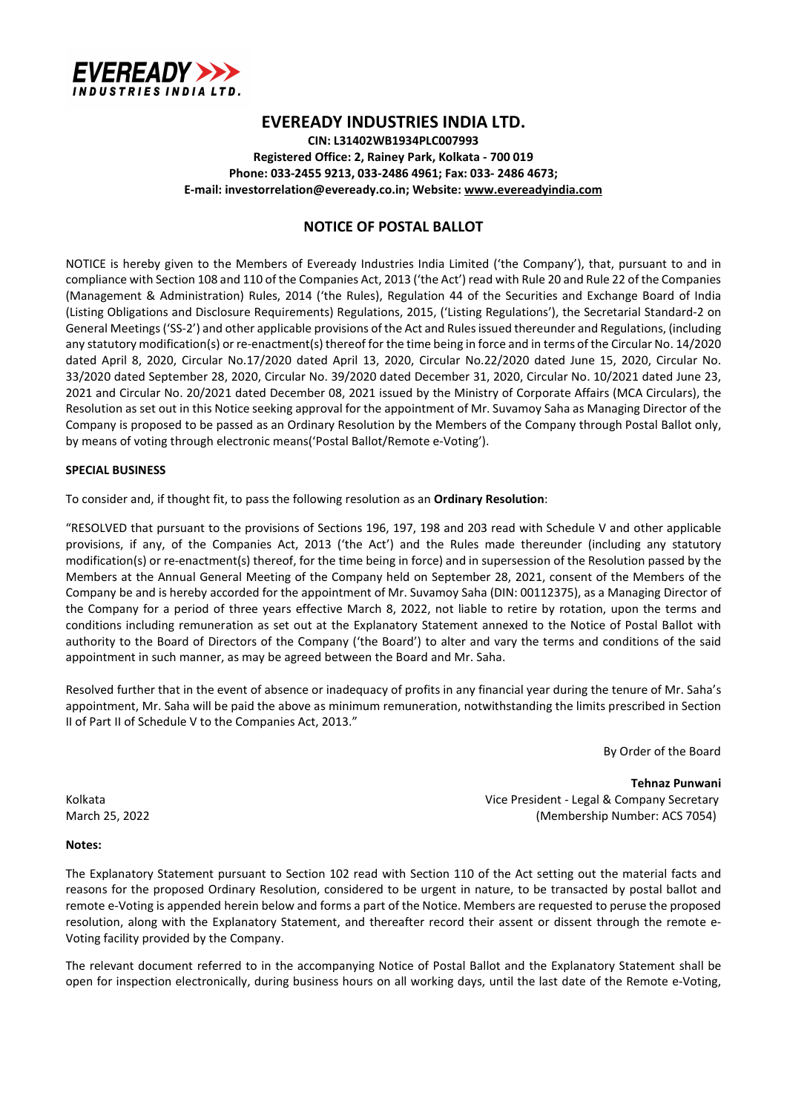

# EVEREADY INDUSTRIES INDIA LTD.

CIN: L31402WB1934PLC007993 Registered Office: 2, Rainey Park, Kolkata - 700 019 Phone: 033-2455 9213, 033-2486 4961; Fax: 033- 2486 4673; E-mail: investorrelation@eveready.co.in; Website: www.evereadyindia.com

## NOTICE OF POSTAL BALLOT

NOTICE is hereby given to the Members of Eveready Industries India Limited ('the Company'), that, pursuant to and in compliance with Section 108 and 110 of the Companies Act, 2013 ('the Act') read with Rule 20 and Rule 22 of the Companies (Management & Administration) Rules, 2014 ('the Rules), Regulation 44 of the Securities and Exchange Board of India (Listing Obligations and Disclosure Requirements) Regulations, 2015, ('Listing Regulations'), the Secretarial Standard-2 on General Meetings ('SS-2') and other applicable provisions of the Act and Rules issued thereunder and Regulations, (including any statutory modification(s) or re-enactment(s) thereof for the time being in force and in terms of the Circular No. 14/2020 dated April 8, 2020, Circular No.17/2020 dated April 13, 2020, Circular No.22/2020 dated June 15, 2020, Circular No. 33/2020 dated September 28, 2020, Circular No. 39/2020 dated December 31, 2020, Circular No. 10/2021 dated June 23, 2021 and Circular No. 20/2021 dated December 08, 2021 issued by the Ministry of Corporate Affairs (MCA Circulars), the Resolution as set out in this Notice seeking approval for the appointment of Mr. Suvamoy Saha as Managing Director of the Company is proposed to be passed as an Ordinary Resolution by the Members of the Company through Postal Ballot only, by means of voting through electronic means('Postal Ballot/Remote e-Voting').

#### SPECIAL BUSINESS

To consider and, if thought fit, to pass the following resolution as an Ordinary Resolution:

"RESOLVED that pursuant to the provisions of Sections 196, 197, 198 and 203 read with Schedule V and other applicable provisions, if any, of the Companies Act, 2013 ('the Act') and the Rules made thereunder (including any statutory modification(s) or re-enactment(s) thereof, for the time being in force) and in supersession of the Resolution passed by the Members at the Annual General Meeting of the Company held on September 28, 2021, consent of the Members of the Company be and is hereby accorded for the appointment of Mr. Suvamoy Saha (DIN: 00112375), as a Managing Director of the Company for a period of three years effective March 8, 2022, not liable to retire by rotation, upon the terms and conditions including remuneration as set out at the Explanatory Statement annexed to the Notice of Postal Ballot with authority to the Board of Directors of the Company ('the Board') to alter and vary the terms and conditions of the said appointment in such manner, as may be agreed between the Board and Mr. Saha.

Resolved further that in the event of absence or inadequacy of profits in any financial year during the tenure of Mr. Saha's appointment, Mr. Saha will be paid the above as minimum remuneration, notwithstanding the limits prescribed in Section II of Part II of Schedule V to the Companies Act, 2013."

By Order of the Board

Tehnaz Punwani Kolkata Vice President - Legal & Company Secretary March 25, 2022 (Membership Number: ACS 7054)

#### Notes:

The Explanatory Statement pursuant to Section 102 read with Section 110 of the Act setting out the material facts and reasons for the proposed Ordinary Resolution, considered to be urgent in nature, to be transacted by postal ballot and remote e-Voting is appended herein below and forms a part of the Notice. Members are requested to peruse the proposed resolution, along with the Explanatory Statement, and thereafter record their assent or dissent through the remote e-Voting facility provided by the Company.

The relevant document referred to in the accompanying Notice of Postal Ballot and the Explanatory Statement shall be open for inspection electronically, during business hours on all working days, until the last date of the Remote e-Voting,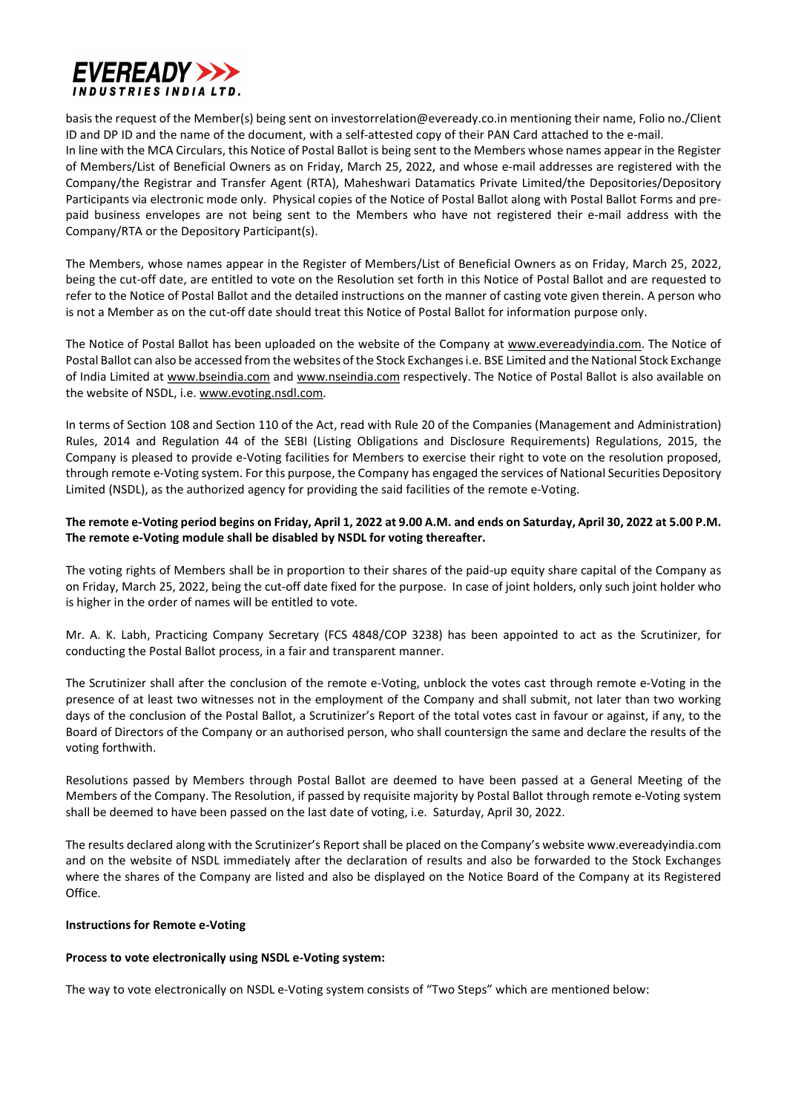

basis the request of the Member(s) being sent on investorrelation@eveready.co.in mentioning their name, Folio no./Client ID and DP ID and the name of the document, with a self-attested copy of their PAN Card attached to the e-mail. In line with the MCA Circulars, this Notice of Postal Ballot is being sent to the Members whose names appear in the Register of Members/List of Beneficial Owners as on Friday, March 25, 2022, and whose e-mail addresses are registered with the Company/the Registrar and Transfer Agent (RTA), Maheshwari Datamatics Private Limited/the Depositories/Depository Participants via electronic mode only. Physical copies of the Notice of Postal Ballot along with Postal Ballot Forms and prepaid business envelopes are not being sent to the Members who have not registered their e-mail address with the Company/RTA or the Depository Participant(s).

The Members, whose names appear in the Register of Members/List of Beneficial Owners as on Friday, March 25, 2022, being the cut-off date, are entitled to vote on the Resolution set forth in this Notice of Postal Ballot and are requested to refer to the Notice of Postal Ballot and the detailed instructions on the manner of casting vote given therein. A person who is not a Member as on the cut-off date should treat this Notice of Postal Ballot for information purpose only.

The Notice of Postal Ballot has been uploaded on the website of the Company at www.evereadyindia.com. The Notice of Postal Ballot can also be accessed from the websites of the Stock Exchanges i.e. BSE Limited and the National Stock Exchange of India Limited at www.bseindia.com and www.nseindia.com respectively. The Notice of Postal Ballot is also available on the website of NSDL, i.e. www.evoting.nsdl.com.

In terms of Section 108 and Section 110 of the Act, read with Rule 20 of the Companies (Management and Administration) Rules, 2014 and Regulation 44 of the SEBI (Listing Obligations and Disclosure Requirements) Regulations, 2015, the Company is pleased to provide e-Voting facilities for Members to exercise their right to vote on the resolution proposed, through remote e-Voting system. For this purpose, the Company has engaged the services of National Securities Depository Limited (NSDL), as the authorized agency for providing the said facilities of the remote e-Voting.

## The remote e-Voting period begins on Friday, April 1, 2022 at 9.00 A.M. and ends on Saturday, April 30, 2022 at 5.00 P.M. The remote e-Voting module shall be disabled by NSDL for voting thereafter.

The voting rights of Members shall be in proportion to their shares of the paid-up equity share capital of the Company as on Friday, March 25, 2022, being the cut-off date fixed for the purpose. In case of joint holders, only such joint holder who is higher in the order of names will be entitled to vote.

Mr. A. K. Labh, Practicing Company Secretary (FCS 4848/COP 3238) has been appointed to act as the Scrutinizer, for conducting the Postal Ballot process, in a fair and transparent manner.

The Scrutinizer shall after the conclusion of the remote e-Voting, unblock the votes cast through remote e-Voting in the presence of at least two witnesses not in the employment of the Company and shall submit, not later than two working days of the conclusion of the Postal Ballot, a Scrutinizer's Report of the total votes cast in favour or against, if any, to the Board of Directors of the Company or an authorised person, who shall countersign the same and declare the results of the voting forthwith.

Resolutions passed by Members through Postal Ballot are deemed to have been passed at a General Meeting of the Members of the Company. The Resolution, if passed by requisite majority by Postal Ballot through remote e-Voting system shall be deemed to have been passed on the last date of voting, i.e. Saturday, April 30, 2022.

The results declared along with the Scrutinizer's Report shall be placed on the Company's website www.evereadyindia.com and on the website of NSDL immediately after the declaration of results and also be forwarded to the Stock Exchanges where the shares of the Company are listed and also be displayed on the Notice Board of the Company at its Registered Office.

## Instructions for Remote e-Voting

## Process to vote electronically using NSDL e-Voting system:

The way to vote electronically on NSDL e-Voting system consists of "Two Steps" which are mentioned below: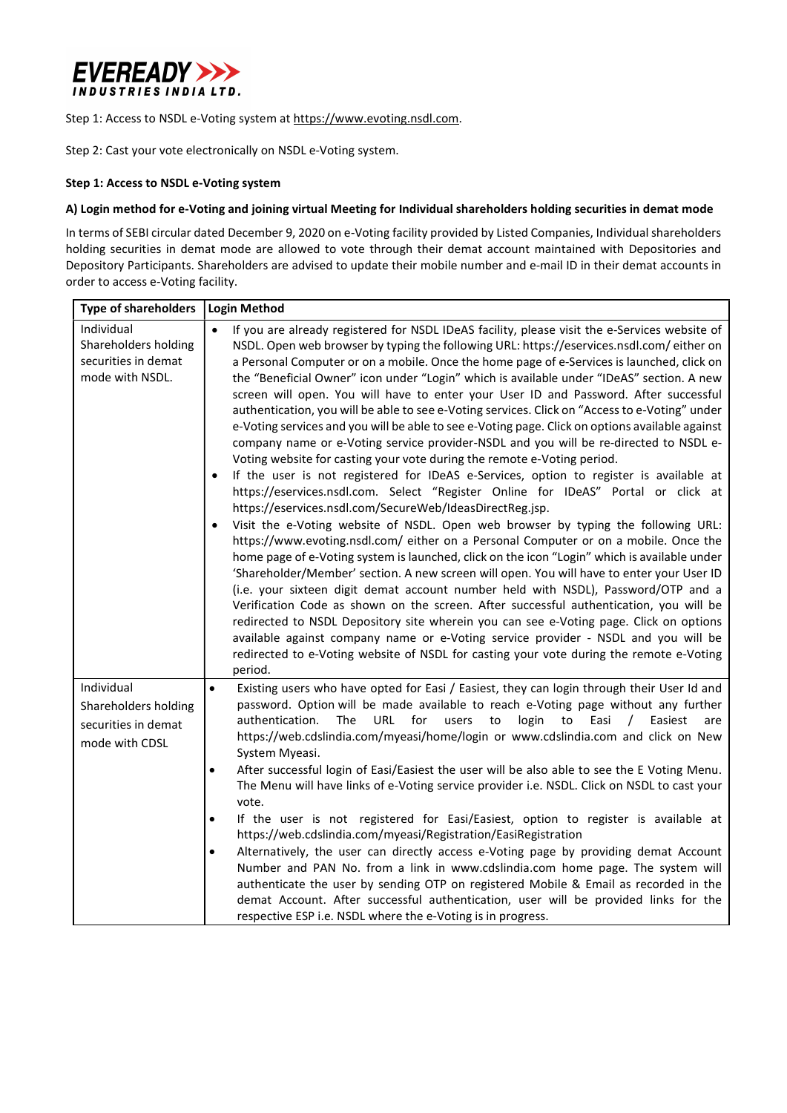

Step 1: Access to NSDL e-Voting system at https://www.evoting.nsdl.com.

Step 2: Cast your vote electronically on NSDL e-Voting system.

### Step 1: Access to NSDL e-Voting system

### A) Login method for e-Voting and joining virtual Meeting for Individual shareholders holding securities in demat mode

In terms of SEBI circular dated December 9, 2020 on e-Voting facility provided by Listed Companies, Individual shareholders holding securities in demat mode are allowed to vote through their demat account maintained with Depositories and Depository Participants. Shareholders are advised to update their mobile number and e-mail ID in their demat accounts in order to access e-Voting facility.

| <b>Type of shareholders</b>                                                  | <b>Login Method</b>                                                                                                                                                                                                                                                                                                                                                                                                                                                                                                                                                                                                                                                                                                                                                                                                                                                                                                                                                                                                                                                                                                                                                                                                                                                                                                                                                                                                                                                                                                                                                                                                                                                                                                                                                                                                                                                                                                                                          |  |
|------------------------------------------------------------------------------|--------------------------------------------------------------------------------------------------------------------------------------------------------------------------------------------------------------------------------------------------------------------------------------------------------------------------------------------------------------------------------------------------------------------------------------------------------------------------------------------------------------------------------------------------------------------------------------------------------------------------------------------------------------------------------------------------------------------------------------------------------------------------------------------------------------------------------------------------------------------------------------------------------------------------------------------------------------------------------------------------------------------------------------------------------------------------------------------------------------------------------------------------------------------------------------------------------------------------------------------------------------------------------------------------------------------------------------------------------------------------------------------------------------------------------------------------------------------------------------------------------------------------------------------------------------------------------------------------------------------------------------------------------------------------------------------------------------------------------------------------------------------------------------------------------------------------------------------------------------------------------------------------------------------------------------------------------------|--|
| Individual<br>Shareholders holding<br>securities in demat<br>mode with NSDL. | If you are already registered for NSDL IDeAS facility, please visit the e-Services website of<br>$\bullet$<br>NSDL. Open web browser by typing the following URL: https://eservices.nsdl.com/either on<br>a Personal Computer or on a mobile. Once the home page of e-Services is launched, click on<br>the "Beneficial Owner" icon under "Login" which is available under "IDeAS" section. A new<br>screen will open. You will have to enter your User ID and Password. After successful<br>authentication, you will be able to see e-Voting services. Click on "Access to e-Voting" under<br>e-Voting services and you will be able to see e-Voting page. Click on options available against<br>company name or e-Voting service provider-NSDL and you will be re-directed to NSDL e-<br>Voting website for casting your vote during the remote e-Voting period.<br>If the user is not registered for IDeAS e-Services, option to register is available at<br>https://eservices.nsdl.com. Select "Register Online for IDeAS" Portal or click at<br>https://eservices.nsdl.com/SecureWeb/IdeasDirectReg.jsp.<br>Visit the e-Voting website of NSDL. Open web browser by typing the following URL:<br>https://www.evoting.nsdl.com/ either on a Personal Computer or on a mobile. Once the<br>home page of e-Voting system is launched, click on the icon "Login" which is available under<br>'Shareholder/Member' section. A new screen will open. You will have to enter your User ID<br>(i.e. your sixteen digit demat account number held with NSDL), Password/OTP and a<br>Verification Code as shown on the screen. After successful authentication, you will be<br>redirected to NSDL Depository site wherein you can see e-Voting page. Click on options<br>available against company name or e-Voting service provider - NSDL and you will be<br>redirected to e-Voting website of NSDL for casting your vote during the remote e-Voting<br>period. |  |
| Individual<br>Shareholders holding<br>securities in demat<br>mode with CDSL  | Existing users who have opted for Easi / Easiest, they can login through their User Id and<br>$\bullet$<br>password. Option will be made available to reach e-Voting page without any further<br><b>URL</b><br>for<br>authentication.<br>The<br>users<br>login<br>Easi<br>to<br>to<br>$\prime$<br>Easiest<br>are<br>https://web.cdslindia.com/myeasi/home/login or www.cdslindia.com and click on New<br>System Myeasi.<br>After successful login of Easi/Easiest the user will be also able to see the E Voting Menu.<br>$\bullet$<br>The Menu will have links of e-Voting service provider i.e. NSDL. Click on NSDL to cast your<br>vote.<br>If the user is not registered for Easi/Easiest, option to register is available at<br>$\bullet$<br>https://web.cdslindia.com/myeasi/Registration/EasiRegistration<br>Alternatively, the user can directly access e-Voting page by providing demat Account<br>$\bullet$<br>Number and PAN No. from a link in www.cdslindia.com home page. The system will<br>authenticate the user by sending OTP on registered Mobile & Email as recorded in the<br>demat Account. After successful authentication, user will be provided links for the<br>respective ESP i.e. NSDL where the e-Voting is in progress.                                                                                                                                                                                                                                                                                                                                                                                                                                                                                                                                                                                                                                                                                                        |  |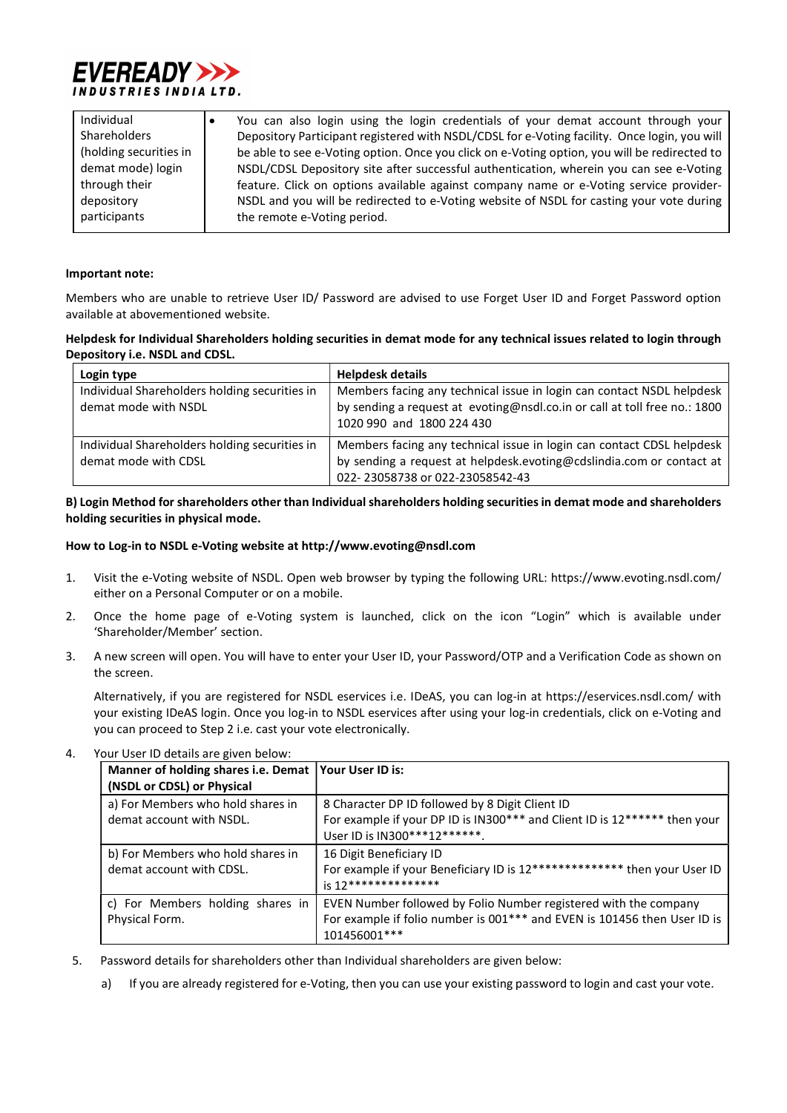

| Individual             | You can also login using the login credentials of your demat account through your            |
|------------------------|----------------------------------------------------------------------------------------------|
| Shareholders           | Depository Participant registered with NSDL/CDSL for e-Voting facility. Once login, you will |
| (holding securities in | be able to see e-Voting option. Once you click on e-Voting option, you will be redirected to |
| demat mode) login      | NSDL/CDSL Depository site after successful authentication, wherein you can see e-Voting      |
| through their          | feature. Click on options available against company name or e-Voting service provider-       |
| depository             | NSDL and you will be redirected to e-Voting website of NSDL for casting your vote during     |
| participants           | the remote e-Voting period.                                                                  |

#### Important note:

Members who are unable to retrieve User ID/ Password are advised to use Forget User ID and Forget Password option available at abovementioned website.

## Helpdesk for Individual Shareholders holding securities in demat mode for any technical issues related to login through Depository i.e. NSDL and CDSL.

| Login type                                                            | <b>Helpdesk details</b>                                                                                                                                                          |
|-----------------------------------------------------------------------|----------------------------------------------------------------------------------------------------------------------------------------------------------------------------------|
| Individual Shareholders holding securities in<br>demat mode with NSDL | Members facing any technical issue in login can contact NSDL helpdesk<br>by sending a request at evoting@nsdl.co.in or call at toll free no.: 1800<br>1020 990 and 1800 224 430  |
| Individual Shareholders holding securities in<br>demat mode with CDSL | Members facing any technical issue in login can contact CDSL helpdesk<br>by sending a request at helpdesk.evoting@cdslindia.com or contact at<br>022-23058738 or 022-23058542-43 |

## B) Login Method for shareholders other than Individual shareholders holding securities in demat mode and shareholders holding securities in physical mode.

### How to Log-in to NSDL e-Voting website at http://www.evoting@nsdl.com

- 1. Visit the e-Voting website of NSDL. Open web browser by typing the following URL: https://www.evoting.nsdl.com/ either on a Personal Computer or on a mobile.
- 2. Once the home page of e-Voting system is launched, click on the icon "Login" which is available under 'Shareholder/Member' section.
- 3. A new screen will open. You will have to enter your User ID, your Password/OTP and a Verification Code as shown on the screen.

Alternatively, if you are registered for NSDL eservices i.e. IDeAS, you can log-in at https://eservices.nsdl.com/ with your existing IDeAS login. Once you log-in to NSDL eservices after using your log-in credentials, click on e-Voting and you can proceed to Step 2 i.e. cast your vote electronically.

| Manner of holding shares i.e. Demat   Your User ID is:<br>(NSDL or CDSL) or Physical |                                                                                                                                                               |  |  |
|--------------------------------------------------------------------------------------|---------------------------------------------------------------------------------------------------------------------------------------------------------------|--|--|
| a) For Members who hold shares in<br>demat account with NSDL.                        | 8 Character DP ID followed by 8 Digit Client ID<br>For example if your DP ID is IN300*** and Client ID is 12****** then your<br>User ID is IN300***12*******. |  |  |
| b) For Members who hold shares in<br>demat account with CDSL.                        | 16 Digit Beneficiary ID<br>For example if your Beneficiary ID is 12************** then your User ID<br>$i$ s 12***************                                |  |  |
| c) For Members holding shares in<br>Physical Form.                                   | EVEN Number followed by Folio Number registered with the company<br>For example if folio number is 001*** and EVEN is 101456 then User ID is<br>101456001 *** |  |  |

4. Your User ID details are given below:

- 5. Password details for shareholders other than Individual shareholders are given below:
	- a) If you are already registered for e-Voting, then you can use your existing password to login and cast your vote.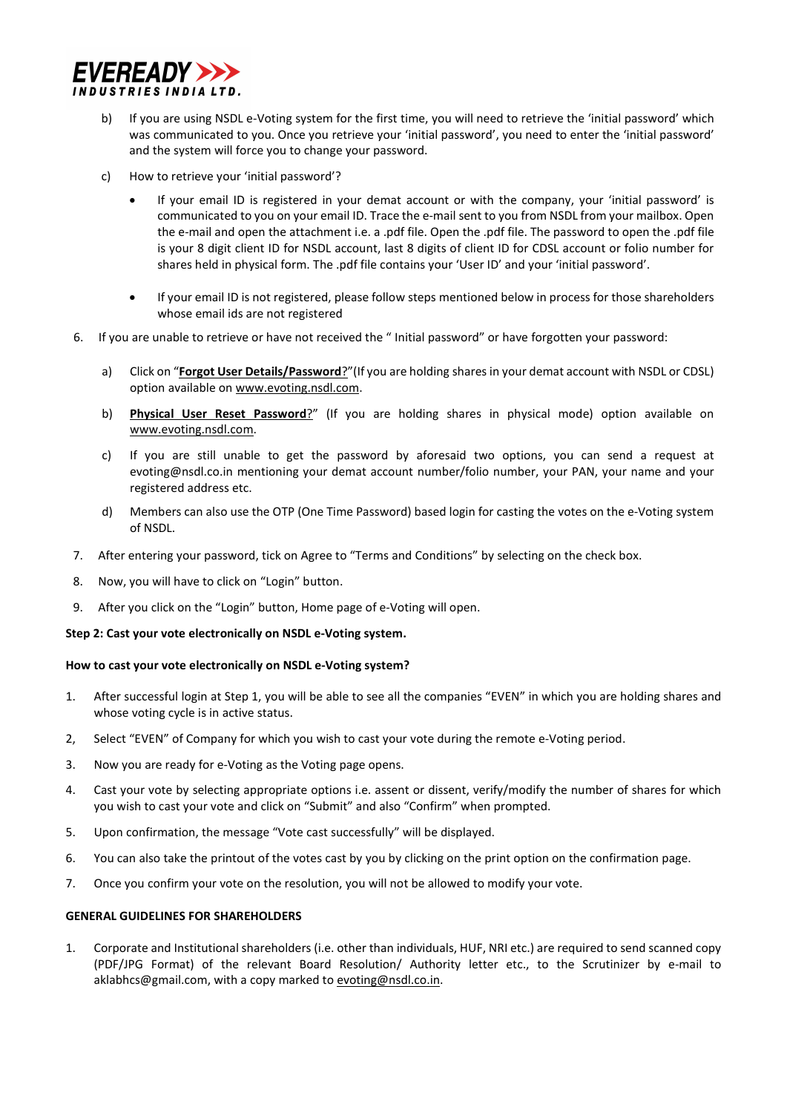

- b) If you are using NSDL e-Voting system for the first time, you will need to retrieve the 'initial password' which was communicated to you. Once you retrieve your 'initial password', you need to enter the 'initial password' and the system will force you to change your password.
- c) How to retrieve your 'initial password'?
	- If your email ID is registered in your demat account or with the company, your 'initial password' is communicated to you on your email ID. Trace the e-mail sent to you from NSDL from your mailbox. Open the e-mail and open the attachment i.e. a .pdf file. Open the .pdf file. The password to open the .pdf file is your 8 digit client ID for NSDL account, last 8 digits of client ID for CDSL account or folio number for shares held in physical form. The .pdf file contains your 'User ID' and your 'initial password'.
	- If your email ID is not registered, please follow steps mentioned below in process for those shareholders whose email ids are not registered
- 6. If you are unable to retrieve or have not received the " Initial password" or have forgotten your password:
	- a) Click on "**Forgot User Details/Password**?"(If you are holding shares in your demat account with NSDL or CDSL) option available on www.evoting.nsdl.com.
	- b) Physical User Reset Password?" (If you are holding shares in physical mode) option available on www.evoting.nsdl.com.
	- c) If you are still unable to get the password by aforesaid two options, you can send a request at evoting@nsdl.co.in mentioning your demat account number/folio number, your PAN, your name and your registered address etc.
	- d) Members can also use the OTP (One Time Password) based login for casting the votes on the e-Voting system of NSDL.
- 7. After entering your password, tick on Agree to "Terms and Conditions" by selecting on the check box.
- 8. Now, you will have to click on "Login" button.
- 9. After you click on the "Login" button, Home page of e-Voting will open.

#### Step 2: Cast your vote electronically on NSDL e-Voting system.

#### How to cast your vote electronically on NSDL e-Voting system?

- 1. After successful login at Step 1, you will be able to see all the companies "EVEN" in which you are holding shares and whose voting cycle is in active status.
- 2, Select "EVEN" of Company for which you wish to cast your vote during the remote e-Voting period.
- 3. Now you are ready for e-Voting as the Voting page opens.
- 4. Cast your vote by selecting appropriate options i.e. assent or dissent, verify/modify the number of shares for which you wish to cast your vote and click on "Submit" and also "Confirm" when prompted.
- 5. Upon confirmation, the message "Vote cast successfully" will be displayed.
- 6. You can also take the printout of the votes cast by you by clicking on the print option on the confirmation page.
- 7. Once you confirm your vote on the resolution, you will not be allowed to modify your vote.

#### GENERAL GUIDELINES FOR SHAREHOLDERS

1. Corporate and Institutional shareholders (i.e. other than individuals, HUF, NRI etc.) are required to send scanned copy (PDF/JPG Format) of the relevant Board Resolution/ Authority letter etc., to the Scrutinizer by e-mail to aklabhcs@gmail.com, with a copy marked to evoting@nsdl.co.in.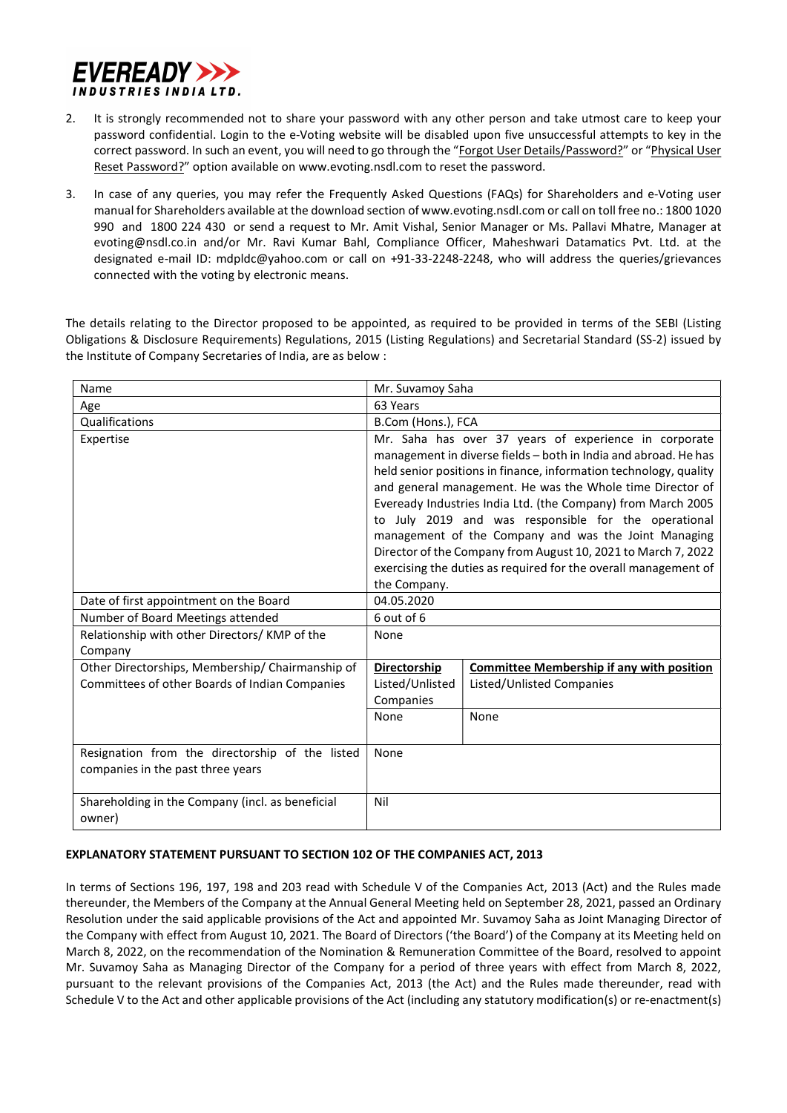

- 2. It is strongly recommended not to share your password with any other person and take utmost care to keep your password confidential. Login to the e-Voting website will be disabled upon five unsuccessful attempts to key in the correct password. In such an event, you will need to go through the "Forgot User Details/Password?" or "Physical User Reset Password?" option available on www.evoting.nsdl.com to reset the password.
- 3. In case of any queries, you may refer the Frequently Asked Questions (FAQs) for Shareholders and e-Voting user manual for Shareholders available at the download section of www.evoting.nsdl.com or call on toll free no.: 1800 1020 990 and 1800 224 430 or send a request to Mr. Amit Vishal, Senior Manager or Ms. Pallavi Mhatre, Manager at evoting@nsdl.co.in and/or Mr. Ravi Kumar Bahl, Compliance Officer, Maheshwari Datamatics Pvt. Ltd. at the designated e-mail ID: mdpldc@yahoo.com or call on +91-33-2248-2248, who will address the queries/grievances connected with the voting by electronic means.

The details relating to the Director proposed to be appointed, as required to be provided in terms of the SEBI (Listing Obligations & Disclosure Requirements) Regulations, 2015 (Listing Regulations) and Secretarial Standard (SS-2) issued by the Institute of Company Secretaries of India, are as below :

| Name                                                                                 | Mr. Suvamoy Saha                                                                                                                                                                                                                                                                                                                                                                                                                                                                                                                                                                               |                                                  |  |
|--------------------------------------------------------------------------------------|------------------------------------------------------------------------------------------------------------------------------------------------------------------------------------------------------------------------------------------------------------------------------------------------------------------------------------------------------------------------------------------------------------------------------------------------------------------------------------------------------------------------------------------------------------------------------------------------|--------------------------------------------------|--|
| Age                                                                                  | 63 Years                                                                                                                                                                                                                                                                                                                                                                                                                                                                                                                                                                                       |                                                  |  |
| Qualifications                                                                       | B.Com (Hons.), FCA                                                                                                                                                                                                                                                                                                                                                                                                                                                                                                                                                                             |                                                  |  |
| Expertise                                                                            | Mr. Saha has over 37 years of experience in corporate<br>management in diverse fields - both in India and abroad. He has<br>held senior positions in finance, information technology, quality<br>and general management. He was the Whole time Director of<br>Eveready Industries India Ltd. (the Company) from March 2005<br>to July 2019 and was responsible for the operational<br>management of the Company and was the Joint Managing<br>Director of the Company from August 10, 2021 to March 7, 2022<br>exercising the duties as required for the overall management of<br>the Company. |                                                  |  |
| Date of first appointment on the Board                                               | 04.05.2020                                                                                                                                                                                                                                                                                                                                                                                                                                                                                                                                                                                     |                                                  |  |
| Number of Board Meetings attended                                                    | 6 out of 6                                                                                                                                                                                                                                                                                                                                                                                                                                                                                                                                                                                     |                                                  |  |
| Relationship with other Directors/KMP of the<br>Company                              | None                                                                                                                                                                                                                                                                                                                                                                                                                                                                                                                                                                                           |                                                  |  |
| Other Directorships, Membership/ Chairmanship of                                     | <b>Directorship</b>                                                                                                                                                                                                                                                                                                                                                                                                                                                                                                                                                                            | <b>Committee Membership if any with position</b> |  |
| Committees of other Boards of Indian Companies                                       | Listed/Unlisted<br>Companies                                                                                                                                                                                                                                                                                                                                                                                                                                                                                                                                                                   | Listed/Unlisted Companies                        |  |
|                                                                                      | None                                                                                                                                                                                                                                                                                                                                                                                                                                                                                                                                                                                           | None                                             |  |
| Resignation from the directorship of the listed<br>companies in the past three years | None                                                                                                                                                                                                                                                                                                                                                                                                                                                                                                                                                                                           |                                                  |  |
| Shareholding in the Company (incl. as beneficial<br>owner)                           | Nil                                                                                                                                                                                                                                                                                                                                                                                                                                                                                                                                                                                            |                                                  |  |

## EXPLANATORY STATEMENT PURSUANT TO SECTION 102 OF THE COMPANIES ACT, 2013

In terms of Sections 196, 197, 198 and 203 read with Schedule V of the Companies Act, 2013 (Act) and the Rules made thereunder, the Members of the Company at the Annual General Meeting held on September 28, 2021, passed an Ordinary Resolution under the said applicable provisions of the Act and appointed Mr. Suvamoy Saha as Joint Managing Director of the Company with effect from August 10, 2021. The Board of Directors ('the Board') of the Company at its Meeting held on March 8, 2022, on the recommendation of the Nomination & Remuneration Committee of the Board, resolved to appoint Mr. Suvamoy Saha as Managing Director of the Company for a period of three years with effect from March 8, 2022, pursuant to the relevant provisions of the Companies Act, 2013 (the Act) and the Rules made thereunder, read with Schedule V to the Act and other applicable provisions of the Act (including any statutory modification(s) or re-enactment(s)